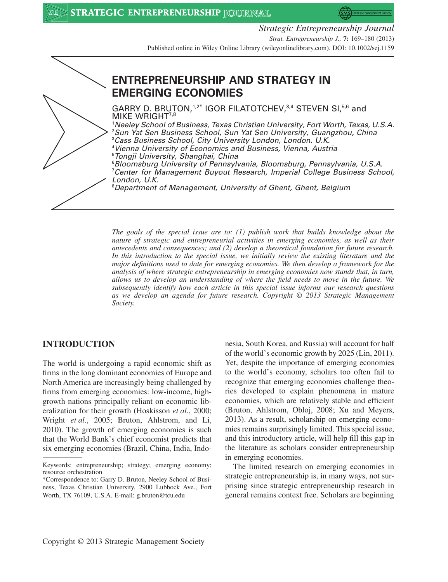

*Strategic Entrepreneurship Journal Strat. Entrepreneurship J.,* **7:** 169–180 (2013)

Published online in Wiley Online Library (wileyonlinelibrary.com). DOI: 10.1002/sej.1159

# **ENTREPRENEURSHIP AND STRATEGY IN EMERGING ECONOMIES**

GARRY D. BRUTON,<sup>1,2\*</sup> IGOR FILATOTCHEV,<sup>3,4</sup> STEVEN SI,<sup>5,6</sup> and MIKE WRIGHT<sup>7,8</sup>

1 *Neeley School of Business, Texas Christian University, Fort Worth, Texas, U.S.A.* 2 *Sun Yat Sen Business School, Sun Yat Sen University, Guangzhou, China*

3 *Cass Business School, City University London, London. U.K.*

4 *Vienna University of Economics and Business, Vienna, Austria*

5 *Tongji University, Shanghai, China*

6 *Bloomsburg University of Pennsylvania, Bloomsburg, Pennsylvania, U.S.A.* 7 *Center for Management Buyout Research, Imperial College Business School, London, U.K.*

8 *Department of Management, University of Ghent, Ghent, Belgium*

*The goals of the special issue are to: (1) publish work that builds knowledge about the nature of strategic and entrepreneurial activities in emerging economies, as well as their antecedents and consequences; and (2) develop a theoretical foundation for future research. In this introduction to the special issue, we initially review the existing literature and the major definitions used to date for emerging economies. We then develop a framework for the analysis of where strategic entrepreneurship in emerging economies now stands that, in turn, allows us to develop an understanding of where the field needs to move in the future. We subsequently identify how each article in this special issue informs our research questions as we develop an agenda for future research. Copyright © 2013 Strategic Management Society.*

# **INTRODUCTION**

The world is undergoing a rapid economic shift as firms in the long dominant economies of Europe and North America are increasingly being challenged by firms from emerging economies: low-income, highgrowth nations principally reliant on economic liberalization for their growth (Hoskisson *et al*., 2000; Wright *et al*., 2005; Bruton, Ahlstrom, and Li, 2010). The growth of emerging economies is such that the World Bank's chief economist predicts that six emerging economies (Brazil, China, India, Indo-

nesia, South Korea, and Russia) will account for half of the world's economic growth by 2025 (Lin, 2011). Yet, despite the importance of emerging economies to the world's economy, scholars too often fail to recognize that emerging economies challenge theories developed to explain phenomena in mature economies, which are relatively stable and efficient (Bruton, Ahlstrom, Obloj, 2008; Xu and Meyers, 2013). As a result, scholarship on emerging economies remains surprisingly limited. This special issue, and this introductory article, will help fill this gap in the literature as scholars consider entrepreneurship in emerging economies.

The limited research on emerging economies in strategic entrepreneurship is, in many ways, not surprising since strategic entrepreneurship research in general remains context free. Scholars are beginning

Keywords: entrepreneurship; strategy; emerging economy; resource orchestration

<sup>\*</sup>Correspondence to: Garry D. Bruton, Neeley School of Business, Texas Christian University, 2900 Lubbock Ave., Fort Worth, TX 76109, U.S.A. E-mail: g.bruton@tcu.edu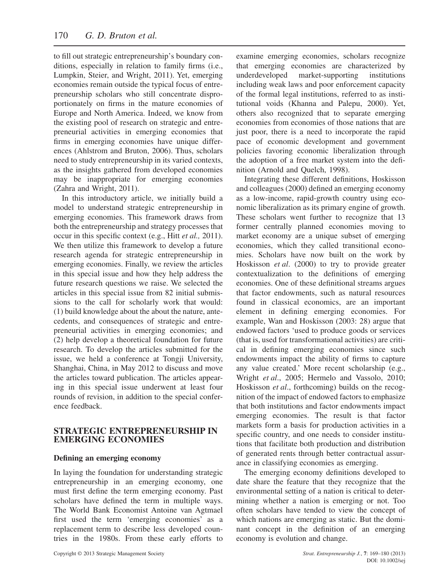to fill out strategic entrepreneurship's boundary conditions, especially in relation to family firms (i.e., Lumpkin, Steier, and Wright, 2011). Yet, emerging economies remain outside the typical focus of entrepreneurship scholars who still concentrate disproportionately on firms in the mature economies of Europe and North America. Indeed, we know from the existing pool of research on strategic and entrepreneurial activities in emerging economies that firms in emerging economies have unique differences (Ahlstrom and Bruton, 2006). Thus, scholars need to study entrepreneurship in its varied contexts, as the insights gathered from developed economies may be inappropriate for emerging economies (Zahra and Wright, 2011).

In this introductory article, we initially build a model to understand strategic entrepreneurship in emerging economies. This framework draws from both the entrepreneurship and strategy processes that occur in this specific context (e.g., Hitt *et al.,* 2011). We then utilize this framework to develop a future research agenda for strategic entrepreneurship in emerging economies. Finally, we review the articles in this special issue and how they help address the future research questions we raise. We selected the articles in this special issue from 82 initial submissions to the call for scholarly work that would: (1) build knowledge about the about the nature, antecedents, and consequences of strategic and entrepreneurial activities in emerging economies; and (2) help develop a theoretical foundation for future research. To develop the articles submitted for the issue, we held a conference at Tongji University, Shanghai, China, in May 2012 to discuss and move the articles toward publication. The articles appearing in this special issue underwent at least four rounds of revision, in addition to the special conference feedback.

### **STRATEGIC ENTREPRENEURSHIP IN EMERGING ECONOMIES**

#### **Defining an emerging economy**

In laying the foundation for understanding strategic entrepreneurship in an emerging economy, one must first define the term emerging economy. Past scholars have defined the term in multiple ways. The World Bank Economist Antoine van Agtmael first used the term 'emerging economies' as a replacement term to describe less developed countries in the 1980s. From these early efforts to examine emerging economies, scholars recognize that emerging economies are characterized by underdeveloped market-supporting institutions including weak laws and poor enforcement capacity of the formal legal institutions, referred to as institutional voids (Khanna and Palepu, 2000). Yet, others also recognized that to separate emerging economies from economies of those nations that are just poor, there is a need to incorporate the rapid pace of economic development and government policies favoring economic liberalization through the adoption of a free market system into the definition (Arnold and Quelch, 1998).

Integrating these different definitions, Hoskisson and colleagues (2000) defined an emerging economy as a low-income, rapid-growth country using economic liberalization as its primary engine of growth. These scholars went further to recognize that 13 former centrally planned economies moving to market economy are a unique subset of emerging economies, which they called transitional economies. Scholars have now built on the work by Hoskisson *et al*. (2000) to try to provide greater contextualization to the definitions of emerging economies. One of these definitional streams argues that factor endowments, such as natural resources found in classical economics, are an important element in defining emerging economies. For example, Wan and Hoskisson (2003: 28) argue that endowed factors 'used to produce goods or services (that is, used for transformational activities) are critical in defining emerging economies since such endowments impact the ability of firms to capture any value created.' More recent scholarship (e.g., Wright *et al*., 2005; Hermelo and Vassolo, 2010; Hoskisson *et al*., forthcoming) builds on the recognition of the impact of endowed factors to emphasize that both institutions and factor endowments impact emerging economies. The result is that factor markets form a basis for production activities in a specific country, and one needs to consider institutions that facilitate both production and distribution of generated rents through better contractual assurance in classifying economies as emerging.

The emerging economy definitions developed to date share the feature that they recognize that the environmental setting of a nation is critical to determining whether a nation is emerging or not. Too often scholars have tended to view the concept of which nations are emerging as static. But the dominant concept in the definition of an emerging economy is evolution and change.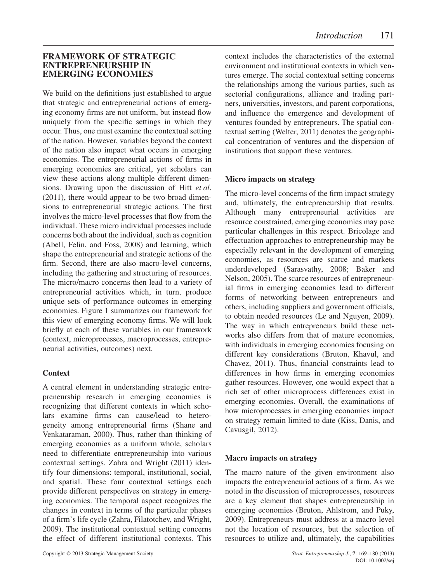# **FRAMEWORK OF STRATEGIC ENTREPRENEURSHIP IN EMERGING ECONOMIES**

We build on the definitions just established to argue that strategic and entrepreneurial actions of emerging economy firms are not uniform, but instead flow uniquely from the specific settings in which they occur. Thus, one must examine the contextual setting of the nation. However, variables beyond the context of the nation also impact what occurs in emerging economies. The entrepreneurial actions of firms in emerging economies are critical, yet scholars can view these actions along multiple different dimensions. Drawing upon the discussion of Hitt *et al*. (2011), there would appear to be two broad dimensions to entrepreneurial strategic actions. The first involves the micro-level processes that flow from the individual. These micro individual processes include concerns both about the individual, such as cognition (Abell, Felin, and Foss, 2008) and learning, which shape the entrepreneurial and strategic actions of the firm. Second, there are also macro-level concerns, including the gathering and structuring of resources. The micro/macro concerns then lead to a variety of entrepreneurial activities which, in turn, produce unique sets of performance outcomes in emerging economies. Figure 1 summarizes our framework for this view of emerging economy firms. We will look briefly at each of these variables in our framework (context, microprocesses, macroprocesses, entrepreneurial activities, outcomes) next.

# **Context**

A central element in understanding strategic entrepreneurship research in emerging economies is recognizing that different contexts in which scholars examine firms can cause/lead to heterogeneity among entrepreneurial firms (Shane and Venkataraman, 2000). Thus, rather than thinking of emerging economies as a uniform whole, scholars need to differentiate entrepreneurship into various contextual settings. Zahra and Wright (2011) identify four dimensions: temporal, institutional, social, and spatial. These four contextual settings each provide different perspectives on strategy in emerging economies. The temporal aspect recognizes the changes in context in terms of the particular phases of a firm's life cycle (Zahra, Filatotchev, and Wright, 2009). The institutional contextual setting concerns the effect of different institutional contexts. This

context includes the characteristics of the external environment and institutional contexts in which ventures emerge. The social contextual setting concerns the relationships among the various parties, such as sectorial configurations, alliance and trading partners, universities, investors, and parent corporations, and influence the emergence and development of ventures founded by entrepreneurs. The spatial contextual setting (Welter, 2011) denotes the geographical concentration of ventures and the dispersion of institutions that support these ventures.

# **Micro impacts on strategy**

The micro-level concerns of the firm impact strategy and, ultimately, the entrepreneurship that results. Although many entrepreneurial activities are resource constrained, emerging economies may pose particular challenges in this respect. Bricolage and effectuation approaches to entrepreneurship may be especially relevant in the development of emerging economies, as resources are scarce and markets underdeveloped (Sarasvathy, 2008; Baker and Nelson, 2005). The scarce resources of entrepreneurial firms in emerging economies lead to different forms of networking between entrepreneurs and others, including suppliers and government officials, to obtain needed resources (Le and Nguyen, 2009). The way in which entrepreneurs build these networks also differs from that of mature economies, with individuals in emerging economies focusing on different key considerations (Bruton, Khavul, and Chavez, 2011). Thus, financial constraints lead to differences in how firms in emerging economies gather resources. However, one would expect that a rich set of other microprocess differences exist in emerging economies. Overall, the examinations of how microprocesses in emerging economies impact on strategy remain limited to date (Kiss, Danis, and Cavusgil, 2012).

# **Macro impacts on strategy**

The macro nature of the given environment also impacts the entrepreneurial actions of a firm. As we noted in the discussion of microprocesses, resources are a key element that shapes entrepreneurship in emerging economies (Bruton, Ahlstrom, and Puky, 2009). Entrepreneurs must address at a macro level not the location of resources, but the selection of resources to utilize and, ultimately, the capabilities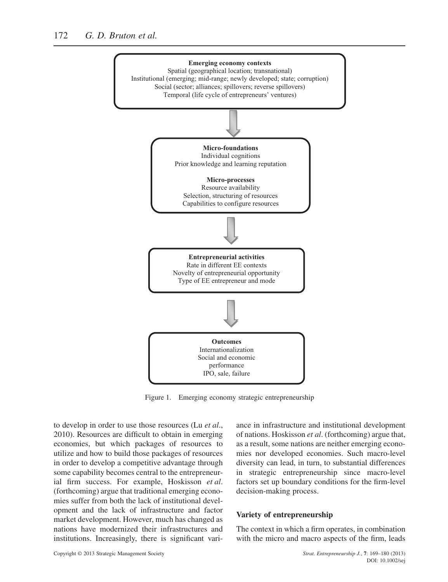

Figure 1. Emerging economy strategic entrepreneurship

to develop in order to use those resources (Lu *et al*., 2010). Resources are difficult to obtain in emerging economies, but which packages of resources to utilize and how to build those packages of resources in order to develop a competitive advantage through some capability becomes central to the entrepreneurial firm success. For example, Hoskisson *et al*. (forthcoming) argue that traditional emerging economies suffer from both the lack of institutional development and the lack of infrastructure and factor market development. However, much has changed as nations have modernized their infrastructures and institutions. Increasingly, there is significant variance in infrastructure and institutional development of nations. Hoskisson *et al*. (forthcoming) argue that, as a result, some nations are neither emerging economies nor developed economies. Such macro-level diversity can lead, in turn, to substantial differences in strategic entrepreneurship since macro-level factors set up boundary conditions for the firm-level decision-making process.

#### **Variety of entrepreneurship**

The context in which a firm operates, in combination with the micro and macro aspects of the firm, leads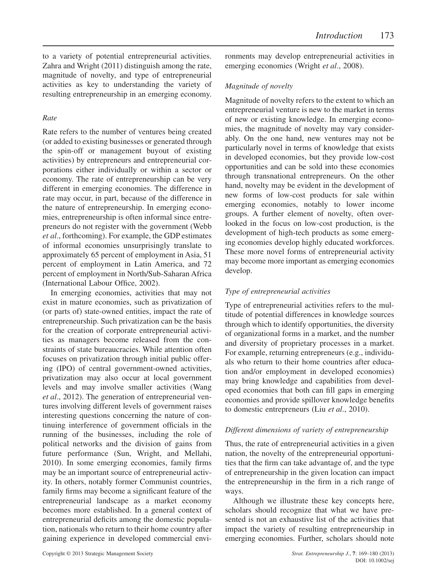to a variety of potential entrepreneurial activities. Zahra and Wright (2011) distinguish among the rate, magnitude of novelty, and type of entrepreneurial activities as key to understanding the variety of resulting entrepreneurship in an emerging economy.

### *Rate*

Rate refers to the number of ventures being created (or added to existing businesses or generated through the spin-off or management buyout of existing activities) by entrepreneurs and entrepreneurial corporations either individually or within a sector or economy. The rate of entrepreneurship can be very different in emerging economies. The difference in rate may occur, in part, because of the difference in the nature of entrepreneurship. In emerging economies, entrepreneurship is often informal since entrepreneurs do not register with the government (Webb *et al*., forthcoming). For example, the GDP estimates of informal economies unsurprisingly translate to approximately 65 percent of employment in Asia, 51 percent of employment in Latin America, and 72 percent of employment in North/Sub-Saharan Africa (International Labour Office, 2002).

In emerging economies, activities that may not exist in mature economies, such as privatization of (or parts of) state-owned entities, impact the rate of entrepreneurship. Such privatization can be the basis for the creation of corporate entrepreneurial activities as managers become released from the constraints of state bureaucracies. While attention often focuses on privatization through initial public offering (IPO) of central government-owned activities, privatization may also occur at local government levels and may involve smaller activities (Wang *et al*., 2012). The generation of entrepreneurial ventures involving different levels of government raises interesting questions concerning the nature of continuing interference of government officials in the running of the businesses, including the role of political networks and the division of gains from future performance (Sun, Wright, and Mellahi, 2010). In some emerging economies, family firms may be an important source of entrepreneurial activity. In others, notably former Communist countries, family firms may become a significant feature of the entrepreneurial landscape as a market economy becomes more established. In a general context of entrepreneurial deficits among the domestic population, nationals who return to their home country after gaining experience in developed commercial environments may develop entrepreneurial activities in emerging economies (Wright *et al*., 2008).

### *Magnitude of novelty*

Magnitude of novelty refers to the extent to which an entrepreneurial venture is new to the market in terms of new or existing knowledge. In emerging economies, the magnitude of novelty may vary considerably. On the one hand, new ventures may not be particularly novel in terms of knowledge that exists in developed economies, but they provide low-cost opportunities and can be sold into these economies through transnational entrepreneurs. On the other hand, novelty may be evident in the development of new forms of low-cost products for sale within emerging economies, notably to lower income groups. A further element of novelty, often overlooked in the focus on low-cost production, is the development of high-tech products as some emerging economies develop highly educated workforces. These more novel forms of entrepreneurial activity may become more important as emerging economies develop.

### *Type of entrepreneurial activities*

Type of entrepreneurial activities refers to the multitude of potential differences in knowledge sources through which to identify opportunities, the diversity of organizational forms in a market, and the number and diversity of proprietary processes in a market. For example, returning entrepreneurs (e.g., individuals who return to their home countries after education and/or employment in developed economies) may bring knowledge and capabilities from developed economies that both can fill gaps in emerging economies and provide spillover knowledge benefits to domestic entrepreneurs (Liu *et al*., 2010).

# *Different dimensions of variety of entrepreneurship*

Thus, the rate of entrepreneurial activities in a given nation, the novelty of the entrepreneurial opportunities that the firm can take advantage of, and the type of entrepreneurship in the given location can impact the entrepreneurship in the firm in a rich range of ways.

Although we illustrate these key concepts here, scholars should recognize that what we have presented is not an exhaustive list of the activities that impact the variety of resulting entrepreneurship in emerging economies. Further, scholars should note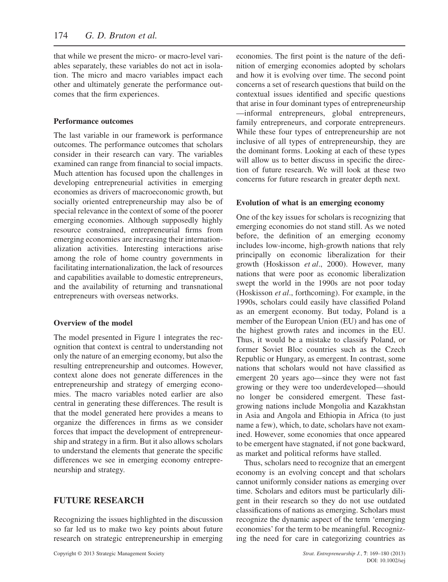that while we present the micro- or macro-level variables separately, these variables do not act in isolation. The micro and macro variables impact each other and ultimately generate the performance outcomes that the firm experiences.

#### **Performance outcomes**

The last variable in our framework is performance outcomes. The performance outcomes that scholars consider in their research can vary. The variables examined can range from financial to social impacts. Much attention has focused upon the challenges in developing entrepreneurial activities in emerging economies as drivers of macroeconomic growth, but socially oriented entrepreneurship may also be of special relevance in the context of some of the poorer emerging economies. Although supposedly highly resource constrained, entrepreneurial firms from emerging economies are increasing their internationalization activities. Interesting interactions arise among the role of home country governments in facilitating internationalization, the lack of resources and capabilities available to domestic entrepreneurs, and the availability of returning and transnational entrepreneurs with overseas networks.

### **Overview of the model**

The model presented in Figure 1 integrates the recognition that context is central to understanding not only the nature of an emerging economy, but also the resulting entrepreneurship and outcomes. However, context alone does not generate differences in the entrepreneurship and strategy of emerging economies. The macro variables noted earlier are also central in generating these differences. The result is that the model generated here provides a means to organize the differences in firms as we consider forces that impact the development of entrepreneurship and strategy in a firm. But it also allows scholars to understand the elements that generate the specific differences we see in emerging economy entrepreneurship and strategy.

# **FUTURE RESEARCH**

Recognizing the issues highlighted in the discussion so far led us to make two key points about future research on strategic entrepreneurship in emerging

economies. The first point is the nature of the definition of emerging economies adopted by scholars and how it is evolving over time. The second point concerns a set of research questions that build on the contextual issues identified and specific questions that arise in four dominant types of entrepreneurship —informal entrepreneurs, global entrepreneurs, family entrepreneurs, and corporate entrepreneurs. While these four types of entrepreneurship are not inclusive of all types of entrepreneurship, they are the dominant forms. Looking at each of these types will allow us to better discuss in specific the direction of future research. We will look at these two concerns for future research in greater depth next.

#### **Evolution of what is an emerging economy**

One of the key issues for scholars is recognizing that emerging economies do not stand still. As we noted before, the definition of an emerging economy includes low-income, high-growth nations that rely principally on economic liberalization for their growth (Hoskisson *et al*., 2000). However, many nations that were poor as economic liberalization swept the world in the 1990s are not poor today (Hoskisson *et al*., forthcoming). For example, in the 1990s, scholars could easily have classified Poland as an emergent economy. But today, Poland is a member of the European Union (EU) and has one of the highest growth rates and incomes in the EU. Thus, it would be a mistake to classify Poland, or former Soviet Bloc countries such as the Czech Republic or Hungary, as emergent. In contrast, some nations that scholars would not have classified as emergent 20 years ago—since they were not fast growing or they were too underdeveloped—should no longer be considered emergent. These fastgrowing nations include Mongolia and Kazakhstan in Asia and Angola and Ethiopia in Africa (to just name a few), which, to date, scholars have not examined. However, some economies that once appeared to be emergent have stagnated, if not gone backward, as market and political reforms have stalled.

Thus, scholars need to recognize that an emergent economy is an evolving concept and that scholars cannot uniformly consider nations as emerging over time. Scholars and editors must be particularly diligent in their research so they do not use outdated classifications of nations as emerging. Scholars must recognize the dynamic aspect of the term 'emerging economies' for the term to be meaningful. Recognizing the need for care in categorizing countries as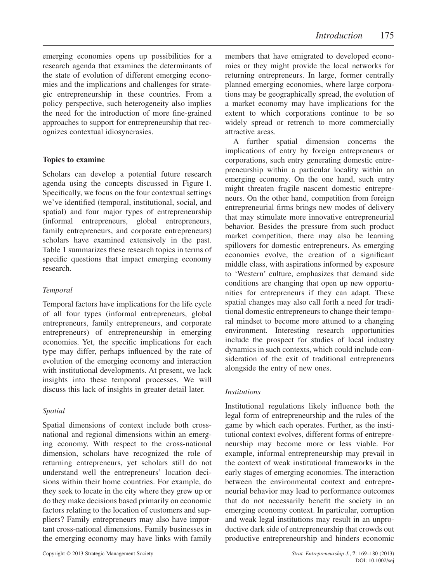emerging economies opens up possibilities for a research agenda that examines the determinants of the state of evolution of different emerging economies and the implications and challenges for strategic entrepreneurship in these countries. From a policy perspective, such heterogeneity also implies the need for the introduction of more fine-grained approaches to support for entrepreneurship that recognizes contextual idiosyncrasies.

# **Topics to examine**

Scholars can develop a potential future research agenda using the concepts discussed in Figure 1. Specifically, we focus on the four contextual settings we've identified (temporal, institutional, social, and spatial) and four major types of entrepreneurship (informal entrepreneurs, global entrepreneurs, family entrepreneurs, and corporate entrepreneurs) scholars have examined extensively in the past. Table 1 summarizes these research topics in terms of specific questions that impact emerging economy research.

# *Temporal*

Temporal factors have implications for the life cycle of all four types (informal entrepreneurs, global entrepreneurs, family entrepreneurs, and corporate entrepreneurs) of entrepreneurship in emerging economies. Yet, the specific implications for each type may differ, perhaps influenced by the rate of evolution of the emerging economy and interaction with institutional developments. At present, we lack insights into these temporal processes. We will discuss this lack of insights in greater detail later.

# *Spatial*

Spatial dimensions of context include both crossnational and regional dimensions within an emerging economy. With respect to the cross-national dimension, scholars have recognized the role of returning entrepreneurs, yet scholars still do not understand well the entrepreneurs' location decisions within their home countries. For example, do they seek to locate in the city where they grew up or do they make decisions based primarily on economic factors relating to the location of customers and suppliers? Family entrepreneurs may also have important cross-national dimensions. Family businesses in the emerging economy may have links with family

Copyright © 2013 Strategic Management Society *Strat. Entrepreneurship J.*, **7**: 169–180 (2013)

members that have emigrated to developed economies or they might provide the local networks for returning entrepreneurs. In large, former centrally planned emerging economies, where large corporations may be geographically spread, the evolution of a market economy may have implications for the extent to which corporations continue to be so widely spread or retrench to more commercially attractive areas.

A further spatial dimension concerns the implications of entry by foreign entrepreneurs or corporations, such entry generating domestic entrepreneurship within a particular locality within an emerging economy. On the one hand, such entry might threaten fragile nascent domestic entrepreneurs. On the other hand, competition from foreign entrepreneurial firms brings new modes of delivery that may stimulate more innovative entrepreneurial behavior. Besides the pressure from such product market competition, there may also be learning spillovers for domestic entrepreneurs. As emerging economies evolve, the creation of a significant middle class, with aspirations informed by exposure to 'Western' culture, emphasizes that demand side conditions are changing that open up new opportunities for entrepreneurs if they can adapt. These spatial changes may also call forth a need for traditional domestic entrepreneurs to change their temporal mindset to become more attuned to a changing environment. Interesting research opportunities include the prospect for studies of local industry dynamics in such contexts, which could include consideration of the exit of traditional entrepreneurs alongside the entry of new ones.

# *Institutions*

Institutional regulations likely influence both the legal form of entrepreneurship and the rules of the game by which each operates. Further, as the institutional context evolves, different forms of entrepreneurship may become more or less viable. For example, informal entrepreneurship may prevail in the context of weak institutional frameworks in the early stages of emerging economies. The interaction between the environmental context and entrepreneurial behavior may lead to performance outcomes that do not necessarily benefit the society in an emerging economy context. In particular, corruption and weak legal institutions may result in an unproductive dark side of entrepreneurship that crowds out productive entrepreneurship and hinders economic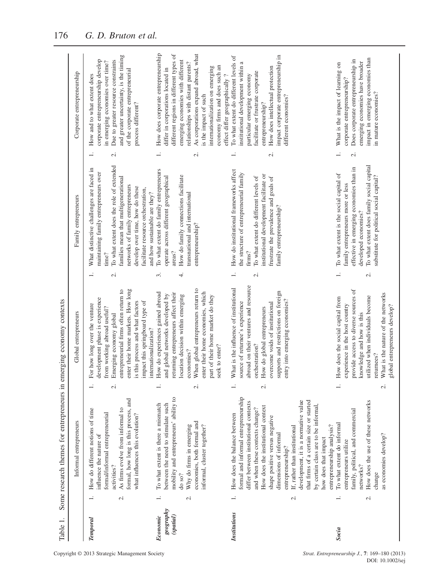| Table 1.                           |                          | Some research themes for entrepreneurs in emerging economy contexts                                                                                                                                                                                                                                                                                                                                                                                                   |                                                                                                                                                                                                                                                                                                           |         |                                                                                                                                                                                                                                                                                                                              |                          |                                                                                                                                                                                                                                                                                                                                                                        |
|------------------------------------|--------------------------|-----------------------------------------------------------------------------------------------------------------------------------------------------------------------------------------------------------------------------------------------------------------------------------------------------------------------------------------------------------------------------------------------------------------------------------------------------------------------|-----------------------------------------------------------------------------------------------------------------------------------------------------------------------------------------------------------------------------------------------------------------------------------------------------------|---------|------------------------------------------------------------------------------------------------------------------------------------------------------------------------------------------------------------------------------------------------------------------------------------------------------------------------------|--------------------------|------------------------------------------------------------------------------------------------------------------------------------------------------------------------------------------------------------------------------------------------------------------------------------------------------------------------------------------------------------------------|
|                                    |                          | Informal entrepreneurs                                                                                                                                                                                                                                                                                                                                                                                                                                                | Global entrepreneurs                                                                                                                                                                                                                                                                                      |         | Family entrepreneurs                                                                                                                                                                                                                                                                                                         |                          | Corporate entrepreneurship                                                                                                                                                                                                                                                                                                                                             |
| Temporal                           | $\overline{\mathcal{N}}$ | ς.<br>formal, how long is this process, and<br>As firms evolve from informal to<br>How do different notions of time<br>formal/informal entrepreneurial<br>what influences this evolution?<br>influence the nature of<br>activities?                                                                                                                                                                                                                                   | enter their home markets. How long<br>entrepreneurial firms often return to<br>development phase is experience<br>impact this springboard type of<br>is this process and what factors<br>For how long over the venture<br>from working abroad useful?<br>Emerging economy global<br>internationalization? | ή,      | To what extent does the role of extended<br>What distinctive challenges are faced in<br>maintaining family entrepreneurs over<br>families mean that multigenerational<br>networks of family entrepreneurs<br>develop over time, how do these<br>facilitate resource orchestration,<br>and how sustainable are they?<br>time? | $\sim$                   | and greater uncertainty, is the timing<br>corporate entrepreneurship develop<br>Due to greater resource constraints<br>in emerging economies over time?<br>of the corporate entrepreneurial<br>How and to what extent does<br>process different?                                                                                                                       |
| geography<br>(spatial)<br>Economic | $\overline{\mathcal{C}}$ | نہ<br>$\overline{c}$<br>To what extent is there a mismatch<br>between the need to stimulate such<br>mobility and entrepreneurs' ability<br>economies, both formal and<br>Why do firms in emerging<br>informal, cluster together?<br>do so?                                                                                                                                                                                                                            | When global entrepreneurs return to<br>enter their home economies, which<br>How do experiences gained abroad<br>returning entrepreneurs affect their<br>and global networks developed by<br>location decision within emerging<br>part of their home market do they<br>seek to enter?<br>economies?        | ξ.<br>₹ | To what extent do family entrepreneurs<br>How do family connections facilitate<br>operate across different geographical<br>transnational and international<br>entrepreneurship?<br>areas?                                                                                                                                    | $\overline{\mathcal{C}}$ | How does corporate entrepreneurship<br>As corporations expand abroad, what<br>different regions in different types of<br>emerging economies with different<br>relationships with distant parents?<br>economy firms and does such an<br>internationalization on emerging<br>differ in corporations located in<br>effect differ geographically?<br>is the impact of such |
| <b>Institutions</b>                | $\overline{c}$           | ς.<br>formal and informal entrepreneurship<br>differ between institutional contexts<br>ە<br>that firms of a certain size or started<br>development, it is a normative valu<br>by certain class are to be informal,<br>How does the institutional context<br>and when these contexts change?<br>How does the balance between<br>shape positive versus negative<br>If, rather than institutional<br>dimensions of informal<br>how does that impact<br>entrepreneurship? | abroad on their ventures and resource<br>What is the influence of institutional<br>supports and restrictions on foreign<br>entry into emerging economies?<br>source of returnee's experience<br>overcome voids of institutional<br>How do global entrepreneurs<br>orchestration?                          | ς.      | How do institutional frameworks affect<br>the structure of entrepreneurial family<br>institutional development facilitate or<br>To what extent do different levels of<br>frustrate the prevalence and goals of<br>family entrepreneurship?<br>firms?                                                                         | $\sim$                   | impact corporate entrepreneurship in<br>To what extent do different levels of<br>institutional development within a<br>How does intellectual protection<br>facilitate or frustrate corporate<br>particular emerging economy<br>different economies?<br>entrepreneurship?                                                                                               |
| Socia                              | $\sim$                   | ς.<br>Ō.<br>How does the use of these network<br>family, political, and commercial<br>To what extent do informal<br>entrepreneurship analysis?<br>as economies develop?<br>entrepreneurs utilize<br>networks?<br>change                                                                                                                                                                                                                                               | provide access to diverse sources of<br>What is the nature of the networks<br>utilized when individuals become<br>How does the social capital from<br>experience in the host country<br>global entrepreneurs develop?<br>knowledge and how is this<br>returnees?<br>$\div$                                | ς.      | To what extent does family social capital<br>effective in emerging economies than in<br>To what extent is the social capital of<br>substitute for political social capital?<br>family entrepreneurs more or less<br>developed economies?                                                                                     | $\sim$                   | impact in emerging economies than<br>Does corporate entrepreneurship in<br>emerging economies have broader<br>What is the impact of learning on<br>corporate entrepreneurship?<br>in mature economies?                                                                                                                                                                 |

Copyright  $©$  2013 Strategic Management Society

, **7**: 169–180 (2013) DOI: 10.1002/sej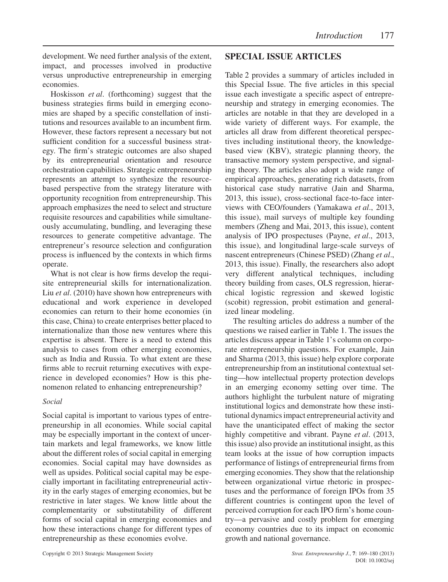development. We need further analysis of the extent, impact, and processes involved in productive versus unproductive entrepreneurship in emerging economies.

Hoskisson *et al*. (forthcoming) suggest that the business strategies firms build in emerging economies are shaped by a specific constellation of institutions and resources available to an incumbent firm. However, these factors represent a necessary but not sufficient condition for a successful business strategy. The firm's strategic outcomes are also shaped by its entrepreneurial orientation and resource orchestration capabilities. Strategic entrepreneurship represents an attempt to synthesize the resourcebased perspective from the strategy literature with opportunity recognition from entrepreneurship. This approach emphasizes the need to select and structure requisite resources and capabilities while simultaneously accumulating, bundling, and leveraging these resources to generate competitive advantage. The entrepreneur's resource selection and configuration process is influenced by the contexts in which firms operate.

What is not clear is how firms develop the requisite entrepreneurial skills for internationalization. Liu *et al*. (2010) have shown how entrepreneurs with educational and work experience in developed economies can return to their home economies (in this case, China) to create enterprises better placed to internationalize than those new ventures where this expertise is absent. There is a need to extend this analysis to cases from other emerging economies, such as India and Russia. To what extent are these firms able to recruit returning executives with experience in developed economies? How is this phenomenon related to enhancing entrepreneurship?

# *Social*

Social capital is important to various types of entrepreneurship in all economies. While social capital may be especially important in the context of uncertain markets and legal frameworks, we know little about the different roles of social capital in emerging economies. Social capital may have downsides as well as upsides. Political social capital may be especially important in facilitating entrepreneurial activity in the early stages of emerging economies, but be restrictive in later stages. We know little about the complementarity or substitutability of different forms of social capital in emerging economies and how these interactions change for different types of entrepreneurship as these economies evolve.

Table 2 provides a summary of articles included in this Special Issue. The five articles in this special issue each investigate a specific aspect of entrepreneurship and strategy in emerging economies. The articles are notable in that they are developed in a wide variety of different ways. For example, the articles all draw from different theoretical perspectives including institutional theory, the knowledgebased view (KBV), strategic planning theory, the transactive memory system perspective, and signaling theory. The articles also adopt a wide range of empirical approaches, generating rich datasets, from historical case study narrative (Jain and Sharma, 2013, this issue), cross-sectional face-to-face interviews with CEO/founders (Yamakawa *et al*., 2013, this issue), mail surveys of multiple key founding members (Zheng and Mai, 2013, this issue), content analysis of IPO prospectuses (Payne, *et al*., 2013, this issue), and longitudinal large-scale surveys of nascent entrepreneurs (Chinese PSED) (Zhang *et al*., 2013, this issue). Finally, the researchers also adopt very different analytical techniques, including theory building from cases, OLS regression, hierarchical logistic regression and skewed logistic (scobit) regression, probit estimation and generalized linear modeling.

The resulting articles do address a number of the questions we raised earlier in Table 1. The issues the articles discuss appear in Table 1's column on corporate entrepreneurship questions. For example, Jain and Sharma (2013, this issue) help explore corporate entrepreneurship from an institutional contextual setting—how intellectual property protection develops in an emerging economy setting over time. The authors highlight the turbulent nature of migrating institutional logics and demonstrate how these institutional dynamics impact entrepreneurial activity and have the unanticipated effect of making the sector highly competitive and vibrant. Payne *et al*. (2013, this issue) also provide an institutional insight, as this team looks at the issue of how corruption impacts performance of listings of entrepreneurial firms from emerging economies. They show that the relationship between organizational virtue rhetoric in prospectuses and the performance of foreign IPOs from 35 different countries is contingent upon the level of perceived corruption for each IPO firm's home country—a pervasive and costly problem for emerging economy countries due to its impact on economic growth and national governance.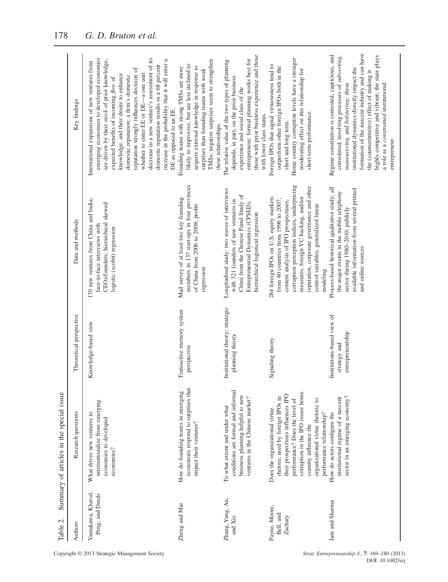| Table 2.                              | Summary of articles in the special issue                                                                                                                                                                                                                                        |                                                                |                                                                                                                                                                                                                                                                                                                     |                                                                                                                                                                                                                                                                                                                                                                                                                                                                                                                                               |
|---------------------------------------|---------------------------------------------------------------------------------------------------------------------------------------------------------------------------------------------------------------------------------------------------------------------------------|----------------------------------------------------------------|---------------------------------------------------------------------------------------------------------------------------------------------------------------------------------------------------------------------------------------------------------------------------------------------------------------------|-----------------------------------------------------------------------------------------------------------------------------------------------------------------------------------------------------------------------------------------------------------------------------------------------------------------------------------------------------------------------------------------------------------------------------------------------------------------------------------------------------------------------------------------------|
| Authors                               | Research questions                                                                                                                                                                                                                                                              | Theoretical perspective                                        | Data and methods                                                                                                                                                                                                                                                                                                    | Key findings                                                                                                                                                                                                                                                                                                                                                                                                                                                                                                                                  |
| Yamakawa, Khavul,<br>Peng, and Deeds  | internationalize from emerging<br>What drives new ventures to<br>economies to developed<br>economies?                                                                                                                                                                           | Knowledge-based view                                           | 170 new ventures from China and India;<br>CEOs/founders; hierarchical skewed<br>face-to-face interviews with<br>logistic (scobit) regression                                                                                                                                                                        | emerging economies to developed economies<br>decrease in a new venture's assessment of its<br>increase in the probability that it will enter a<br>are driven by their stock of prior knowledge,<br>International expansions of new ventures from<br>domestic reputation results in a 68 percent<br>reputation strongly influences decision of<br>whether to enter EE or DE-a one unit<br>knowledge, and their desire to enhance<br>domestic reputation; a firm's domestic<br>expected benefits of incoming flow of<br>DE as opposed to an EE. |
| Zheng and Mai                         | economies respond to surprises that<br>How do founding teams in emerging<br>impact their ventures?                                                                                                                                                                              | Transactive memory system<br>perspective                       | members in 137 start-ups in four provinces<br>Mail survey of at least two key founding<br>of China from 2006 to 2008; probit<br>regression                                                                                                                                                                          | TMSs; negative surprises seem to strengthen<br>likely to improvise, but are less inclined to<br>acquire external knowledge in response to<br>Founding teams with strong TMSs are more<br>surprises than founding teams with weak<br>these relationships.                                                                                                                                                                                                                                                                                      |
| Zhang, Yang, Au,<br>and Xie           | conditions are formal and informal<br>business planning helpful to new<br>ventures in the Chinese market?<br>To what extent and under what                                                                                                                                      | Institutional theory; strategic<br>planning theory             | Longitudinal study: two waves of interviews<br>China from the Chinese Panel Study of<br>with 321 founders of new ventures in<br>Entrepreneurial Dynamics (CPSED);<br>hierarchical logistical regression                                                                                                             | those with prior business experience and those<br>entrepreneur: formal planning works best for<br>The relative value of the two types of planning<br>depends, in part, on the prior business<br>experience and social class of the<br>with lower class status.                                                                                                                                                                                                                                                                                |
| Payne, Moore,<br>Bell, and<br>Zachary | home<br>their prospectuses influences IPO<br>rhetoric used by foreign IPOs in<br>of<br>organizational virtue rhetoric to<br>Does the organizational virtue<br>performance? Does the level<br>corruption in the IPO issuer<br>performance relationship?<br>country influence the | Signaling theory                                               | corruption perception indices, underpricing<br>reputation, corporate governance and other<br>measures, foreign VC backing, auditor<br>284 foreign IPOs on U.S. equity markets<br>from 40 countries from 1996 to 2007;<br>content analysis of IPO prospectuses,<br>control variables; generalized linear<br>modeling | Home country corruption levels have a stronger<br>Foreign IPOs that signal virtuousness tend to<br>outperform other foreign IPOs both in the<br>moderating effect on this relationship for<br>short-term performance.<br>short and long term.                                                                                                                                                                                                                                                                                                 |
| Jain and Sharma                       | sector in an emerging economy?<br>institutional regime of a nascent<br>How do actors configure the                                                                                                                                                                              | Institutions-based view of<br>entrepreneurship<br>strategy and | Process-based historical qualitative study; all<br>available information from several printed<br>the major events in the mobile telephony<br>sector during 1980-2010; publicly<br>and online sources                                                                                                                | formation of the nascent industry and can have<br>Regime constitution is contested, capricious, and<br>highly competitive and vibrant; the state plays<br>convoluted, involving processes of subverting,<br>institutional dynamics directly impact the<br>the (counterintuitive) effect of making it<br>maneuvering, and bolstering; these<br>a role as a constrained institutional<br>entrepreneur.                                                                                                                                          |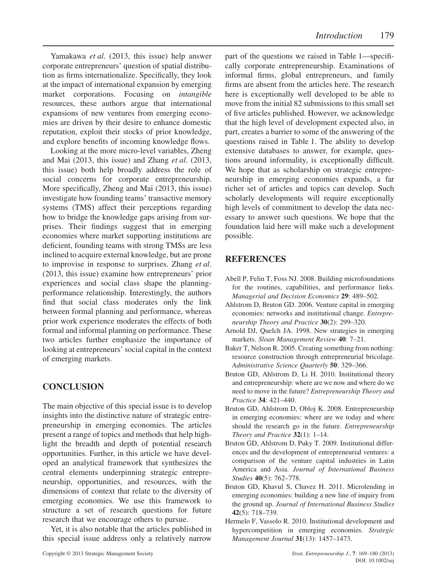Yamakawa *et al*. (2013, this issue) help answer corporate entrepreneurs' question of spatial distribution as firms internationalize. Specifically, they look at the impact of international expansion by emerging market corporations. Focusing on *intangible* resources, these authors argue that international expansions of new ventures from emerging economies are driven by their desire to enhance domestic reputation, exploit their stocks of prior knowledge, and explore benefits of incoming knowledge flows.

Looking at the more micro-level variables, Zheng and Mai (2013, this issue) and Zhang *et al*. (2013, this issue) both help broadly address the role of social concerns for corporate entrepreneurship. More specifically, Zheng and Mai (2013, this issue) investigate how founding teams' transactive memory systems (TMS) affect their perceptions regarding how to bridge the knowledge gaps arising from surprises. Their findings suggest that in emerging economies where market supporting institutions are deficient, founding teams with strong TMSs are less inclined to acquire external knowledge, but are prone to improvise in response to surprises. Zhang *et al*. (2013, this issue) examine how entrepreneurs' prior experiences and social class shape the planningperformance relationship. Interestingly, the authors find that social class moderates only the link between formal planning and performance, whereas prior work experience moderates the effects of both formal and informal planning on performance. These two articles further emphasize the importance of looking at entrepreneurs' social capital in the context of emerging markets.

# **CONCLUSION**

The main objective of this special issue is to develop insights into the distinctive nature of strategic entrepreneurship in emerging economies. The articles present a range of topics and methods that help highlight the breadth and depth of potential research opportunities. Further, in this article we have developed an analytical framework that synthesizes the central elements underpinning strategic entrepreneurship, opportunities, and resources, with the dimensions of context that relate to the diversity of emerging economies. We use this framework to structure a set of research questions for future research that we encourage others to pursue.

Yet, it is also notable that the articles published in this special issue address only a relatively narrow

part of the questions we raised in Table 1—specifically corporate entrepreneurship. Examinations of informal firms, global entrepreneurs, and family firms are absent from the articles here. The research here is exceptionally well developed to be able to move from the initial 82 submissions to this small set of five articles published. However, we acknowledge that the high level of development expected also, in part, creates a barrier to some of the answering of the questions raised in Table 1. The ability to develop extensive databases to answer, for example, questions around informality, is exceptionally difficult. We hope that as scholarship on strategic entrepreneurship in emerging economies expands, a far richer set of articles and topics can develop. Such scholarly developments will require exceptionally high levels of commitment to develop the data necessary to answer such questions. We hope that the foundation laid here will make such a development possible.

# **REFERENCES**

- Abell P, Felin T, Foss NJ. 2008. Building microfoundations for the routines, capabilities, and performance links. *Managerial and Decision Economics* **29**: 489–502.
- Ahlstrom D, Bruton GD. 2006. Venture capital in emerging economies: networks and institutional change. *Entrepreneurship Theory and Practice* **30**(2): 299–320.
- Arnold DJ, Quelch JA. 1998. New strategies in emerging markets. *Sloan Management Review* **40**: 7–21.
- Baker T, Nelson R. 2005. Creating something from nothing: resource construction through entrepreneurial bricolage. *Administrative Science Quarterly* **50**: 329–366.
- Bruton GD, Ahlstrom D, Li H. 2010. Institutional theory and entrepreneurship: where are we now and where do we need to move in the future? *Entrepreneurship Theory and Practice* **34**: 421–440.
- Bruton GD, Ahlstrom D, Obloj K. 2008. Entrepreneurship in emerging economies: where are we today and where should the research go in the future. *Entrepreneurship Theory and Practice* **32**(1): 1–14.
- Bruton GD, Ahlstrom D, Puky T. 2009. Institutional differences and the development of entrepreneurial ventures: a comparison of the venture capital industries in Latin America and Asia. *Journal of International Business Studies* **40**(5): 762–778.
- Bruton GD, Khavul S, Chavez H. 2011. Microlending in emerging economies: building a new line of inquiry from the ground up. *Journal of International Business Studies* **42**(5): 718–739.
- Hermelo F, Vassolo R. 2010. Institutional development and hypercompetition in emerging economies. *Strategic Management Journal* **31**(13): 1457–1473.